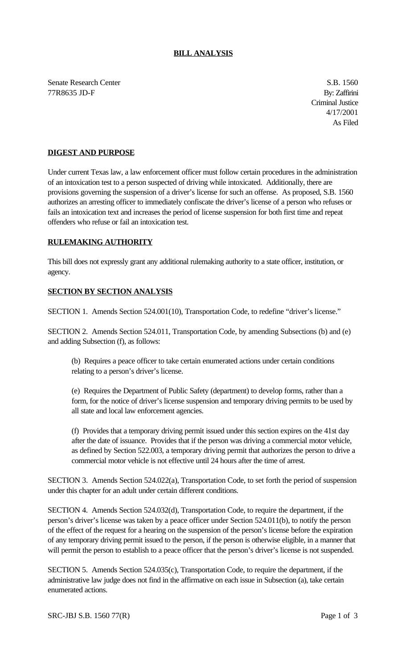## **BILL ANALYSIS**

Senate Research Center S.B. 1560 77R8635 JD-F By: Zaffirini

Criminal Justice 4/17/2001 As Filed

## **DIGEST AND PURPOSE**

Under current Texas law, a law enforcement officer must follow certain procedures in the administration of an intoxication test to a person suspected of driving while intoxicated. Additionally, there are provisions governing the suspension of a driver's license for such an offense. As proposed, S.B. 1560 authorizes an arresting officer to immediately confiscate the driver's license of a person who refuses or fails an intoxication text and increases the period of license suspension for both first time and repeat offenders who refuse or fail an intoxication test.

## **RULEMAKING AUTHORITY**

This bill does not expressly grant any additional rulemaking authority to a state officer, institution, or agency.

## **SECTION BY SECTION ANALYSIS**

SECTION 1. Amends Section 524.001(10), Transportation Code, to redefine "driver's license."

SECTION 2. Amends Section 524.011, Transportation Code, by amending Subsections (b) and (e) and adding Subsection (f), as follows:

(b) Requires a peace officer to take certain enumerated actions under certain conditions relating to a person's driver's license.

(e) Requires the Department of Public Safety (department) to develop forms, rather than a form, for the notice of driver's license suspension and temporary driving permits to be used by all state and local law enforcement agencies.

(f) Provides that a temporary driving permit issued under this section expires on the 41st day after the date of issuance. Provides that if the person was driving a commercial motor vehicle, as defined by Section 522.003, a temporary driving permit that authorizes the person to drive a commercial motor vehicle is not effective until 24 hours after the time of arrest.

SECTION 3. Amends Section 524.022(a), Transportation Code, to set forth the period of suspension under this chapter for an adult under certain different conditions.

SECTION 4. Amends Section 524.032(d), Transportation Code, to require the department, if the person's driver's license was taken by a peace officer under Section 524.011(b), to notify the person of the effect of the request for a hearing on the suspension of the person's license before the expiration of any temporary driving permit issued to the person, if the person is otherwise eligible, in a manner that will permit the person to establish to a peace officer that the person's driver's license is not suspended.

SECTION 5. Amends Section 524.035(c), Transportation Code, to require the department, if the administrative law judge does not find in the affirmative on each issue in Subsection (a), take certain enumerated actions.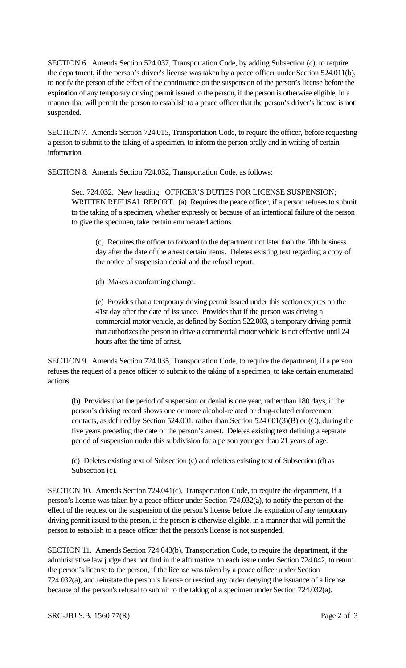SECTION 6. Amends Section 524.037, Transportation Code, by adding Subsection (c), to require the department, if the person's driver's license was taken by a peace officer under Section 524.011(b), to notify the person of the effect of the continuance on the suspension of the person's license before the expiration of any temporary driving permit issued to the person, if the person is otherwise eligible, in a manner that will permit the person to establish to a peace officer that the person's driver's license is not suspended.

SECTION 7. Amends Section 724.015, Transportation Code, to require the officer, before requesting a person to submit to the taking of a specimen, to inform the person orally and in writing of certain information.

SECTION 8. Amends Section 724.032, Transportation Code, as follows:

Sec. 724.032. New heading: OFFICER'S DUTIES FOR LICENSE SUSPENSION; WRITTEN REFUSAL REPORT. (a) Requires the peace officer, if a person refuses to submit to the taking of a specimen, whether expressly or because of an intentional failure of the person to give the specimen, take certain enumerated actions.

(c) Requires the officer to forward to the department not later than the fifth business day after the date of the arrest certain items. Deletes existing text regarding a copy of the notice of suspension denial and the refusal report.

(d) Makes a conforming change.

(e) Provides that a temporary driving permit issued under this section expires on the 41st day after the date of issuance. Provides that if the person was driving a commercial motor vehicle, as defined by Section 522.003, a temporary driving permit that authorizes the person to drive a commercial motor vehicle is not effective until 24 hours after the time of arrest.

SECTION 9. Amends Section 724.035, Transportation Code, to require the department, if a person refuses the request of a peace officer to submit to the taking of a specimen, to take certain enumerated actions.

(b) Provides that the period of suspension or denial is one year, rather than 180 days, if the person's driving record shows one or more alcohol-related or drug-related enforcement contacts, as defined by Section 524.001, rather than Section 524.001(3)(B) or (C), during the five years preceding the date of the person's arrest. Deletes existing text defining a separate period of suspension under this subdivision for a person younger than 21 years of age.

(c) Deletes existing text of Subsection (c) and reletters existing text of Subsection (d) as Subsection (c).

SECTION 10. Amends Section 724.041(c), Transportation Code, to require the department, if a person's license was taken by a peace officer under Section 724.032(a), to notify the person of the effect of the request on the suspension of the person's license before the expiration of any temporary driving permit issued to the person, if the person is otherwise eligible, in a manner that will permit the person to establish to a peace officer that the person's license is not suspended.

SECTION 11. Amends Section 724.043(b), Transportation Code, to require the department, if the administrative law judge does not find in the affirmative on each issue under Section 724.042, to return the person's license to the person, if the license was taken by a peace officer under Section 724.032(a), and reinstate the person's license or rescind any order denying the issuance of a license because of the person's refusal to submit to the taking of a specimen under Section 724.032(a).